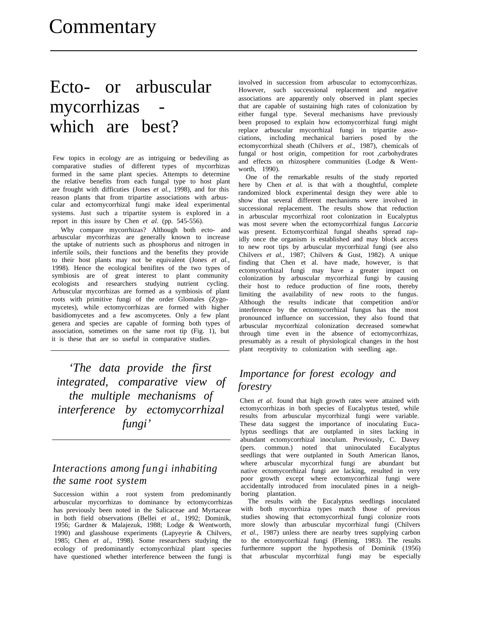# Ecto- or arbuscular mycorrhizas which are best?

Few topics in ecology are as intriguing or bedeviling as comparative studies of different types of mycorrhizas formed in the same plant species. Attempts to determine the relative benefits from each fungal type to host plant are frought with difficuties (Jones *et al.,* 1998), and for this reason plants that from tripartite associations with arbuscular and ectomycorrhizal fungi make ideal experimental systems. Just such a tripartite system is explored in a report in this issure by Chen *et al.* (pp. 545-556).

Why compare mycorrhizas? Although both ecto- and arbuscular mycorrhizas are generally known to increase the uptake of nutrients such as phosphorus and nitrogen in infertile soils, their functions and the benefits they provide to their host plants may not be equivalent (Jones *et al.,*  1998). Hence the ecological benifites of the two types of symbiosis are of great interest to plant community ecologists and researchers studying nutrient cycling. Arbuscular mycorrhizas are formed as a symbiosis of plant roots with primitive fungi of the order Glomales (Zygomycetes), while ectomycorrhizas are formed with higher basidiomycetes and a few ascomycetes. Only a few plant genera and species are capable of forming both types of association, sometimes on the same root tip (Fig. 1), but it is these that are so useful in comparative studies.

*'The data provide the first integrated, comparative view of the multiple mechanisms of interference by ectomycorrhizal fungi'* 

## *Interactions among fungi inhabiting the same root system*

Succession within a root system from predominantly arbuscular mycorrhizas to dominance by ectomycorrhizas has previously been noted in the Salicaceae and Myrtaceae in both field observations (Bellei *et al.,* 1992; Dominik, 1956; Gardner & Malajezuk, 1988; Lodge & Wentworth, 1990) and glasshouse experiments (Lapyeyrie & Chilvers, 1985; Chen *et al.,* 1998). Some researchers studying the ecology of predominantly ectomycorrhizal plant species have questioned whether interference between the fungi is

involved in succession from arbuscular to ectomycorrhizas. However, such successional replacement and negative associations are apparently only observed in plant species that are capable of sustaining high rates of colonization by either fungal type. Several mechanisms have previously been proposed to explain how ectomycorrhizal fungi might replace arbuscular mycorrhizal fungi in tripartite associations, including mechanical barriers posed by the ectomycorrhizal sheath (Chilvers *et al.,* 1987), chemicals of fungal or host origin, competition for root ,carbohydrates and effects on rhizosphere communities (Lodge & Wentworth, 1990).

One of the remarkable results of the study reported here by Chen *et al.* is that with a thoughtful, complete randomized block experimental design they were able to show that several different mechanisms were involved in successional replacement. The results show that reduction in arbuscular mycorrhizal root colonization in Eucalyptus was most severe when the ectomycorrhizal fungus *Laccaria*  was present. Ectomycorrhizal fungal sheaths spread rapidly once the organism is established and may block access to new root tips by arbuscular mycorrhizal fungi (see also Chilvers *et al.,* 1987; Chilvers & Gust, 1982). A unique finding that Chen et al. have made, however, is that ectomycorrhizal fungi may have a greater impact on colonization by arbuscular mycorrhizal fungi by causing their host to reduce production of fine roots, thereby limiting the availability of new roots to the fungus. Although the results indicate that competition and/or interference by the ectomycorrhizal fungus has the most pronounced influence on succession, they also found that arbuscular mycorrhizal colonization decreased somewhat through time even in the absence of ectomycorrhizas, presumably as a result of physiological changes in the host plant receptivity to colonization with seedling age.

### *Importance for forest ecology and forestry*

Chen *et al.* found that high growth rates were attained with ectomycorrhizas in both species of Eucalyptus tested, while results from arbuscular mycorrhizal fungi were variable. These data suggest the importance of inoculating Eucalyptus seedlings that are outplanted in sites lacking in abundant ectomycorrhizal inoculum. Previously, C. Davey (pers. commun.) noted that uninoculated Eucalyptus seedlings that were outplanted in South American llanos, where arbuscular mycorrhizal fungi are abundant but native ectomycorrhizal fungi are lacking, resulted in very poor growth except where ectomycorrhizal fungi were accidentally introduced from inoculated pines in a neighboring plantation.

The results with the Eucalyptus seedlings inoculated with both mycorrhiza types match those of previous studies showing that ectomycorrhizal fungi colonize roots more slowly than arbuscular mycorrhizal fungi (Chilvers *et al.,* 1987) unless there are nearby trees supplying carbon to the ectomycorrhizal fungi (Fleming, 1983). The results furthermore support the hypothesis of Dominik (1956) that arbuscular mycorrhizal fungi may be especially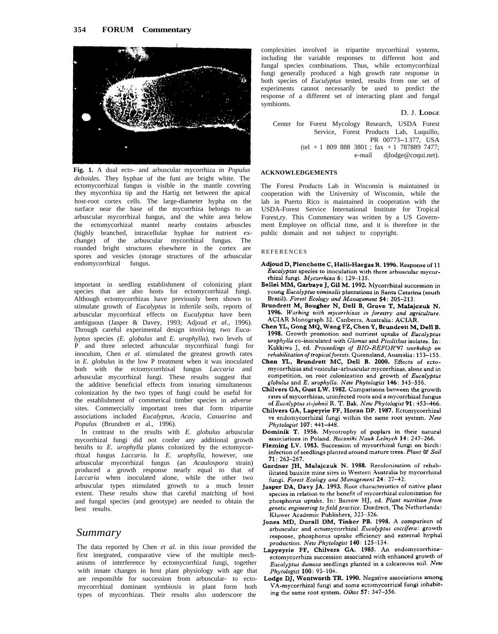

**Fig. 1.** A dual ecto- and arbuscular mycorrhiza in *Populus deltoides.* They hyphae of the funi are bright white. The ectomycorrhizal fungus is visible in the mantle covering they mycorrhiza tip and the Hartig net between the apical host-root cortex cells. The large-diameter hypha on the surface near the base of the mycorrhiza belongs to an arbuscular mycorrhizal fungus, and the white area below the ectomycorhizal mantel nearby contains arbuscles (highly branched, intracellular hyphae for nutrient exchange) of the arbuscular mycorrhizal fungus. The rounded bright structures elsewhere in the cortex are spores and vesicles (storage structures of the arbuscular endomycorrhizal fungus.

important in seedling establishment of colonizing plant species that are also hosts for ectomycorrhizal fungi. Although ectomycorrhizas have previously been shown to stimulate growth of *Eucalyptus* in infertile soils, reports of arbuscular mycorrhizal effects on *Eucalyptus* have been ambiguous (Jasper & Davey, 1993; Adjoud *et al.,* 1996). Through careful experimental design involving two *Eucalyptus* species *(E. globulus* and *E. urophylla),* two levels of P and three selected arbuscular mycorrhizal fungi for inoculum, Chen *et al.* stimulated the greatest growth rates in *E. globulus* in the low P treatment when it was inoculated both with the ectomycorrhixal fungus *Laccaria* and arbuscular mycorrhizal fungi. These results suggest that the additive beneficial effects from insuring simultaneous colonization by the two types of fungi could be useful for the establishment of commerical timber species in adverse sites. Commercially important trees that form tripartite associations included *Eucalyptus, Acacia, Casuarina* and *Populus* (Brundrett et al., 1996).

In contrast to the results with *E. globulus* arbuscular mycorrhizal fungi did not confer any additional growth benifts to *E. urophylla* plants colonized by the ectomycorrhizal fungus *Laccaria.* In *E. urophylla,* however, one arbuscular mycorrhizal fungus (an *Acaulospora* strain) produced a growth response nearly equal to that of *Laccaria* when inoculated alone, while the other two arbuscular types stimulated growth to a much lesser extent. These results show that careful matching of host and fungal species (and genotype) are needed to obtain the best results.

#### *Summary*

The data reported by Chen *et al.* in this issue provided the first integrated, comparative view of the multiple mechanisms of interference by ectomycorrhizal fungi, together with innate changes in host plant physiology with age that are responsible for succession from arbuscular- to ectomycorrrhizal dominant symbiosis in plant form both types of mycorrhizas. Their results also underscore the

complexities involved in tripartite mycorrhizal systems, including the variable responses to different host and fungal species combinations. Thus, while ectomycorrhizal fungi generally produced a high growth rate response in both species of *Euculyptus* tested, results from one set of experiments cannot necessarily be used to predict the response of a different set of interacting plant and fungal symbionts.

#### D. J. **LODGE**

Center for Forest Mycology Research, USDA Forest Service, Forest Products Lab, Luquillo, PR 00773-1 377, USA (tel + 1 809 888 3801 ; fax + 1 787889 7477; e-mail djlodge@coqui.net).

#### **ACKNOWLEDGEMENTS**

The Forest Products Lab in Wisconsin is maintained in cooperation with the University of Wisconsin, while the lab in Puerto Rico is maintained in cooperation with the USDA-Forest Service International Institute for Tropical Forest,ry. This Commentary was written by a US Government Employee on official time, and it is therefore in the public domain and not subject to copyright.

#### REFERENCES

- Adjoud D, Plenchette C, Halli-Hargas R. 1996. Response of 11 Eucalyptus species to inoculation with three arbuscular mycorrhizal fungi. Mycorrhiza 6: 129-135.
- Bellei MM, Garbaye J, Gil M. 1992. Mycorrhizal succession in young Eucalyptus viminalis plantations in Santa Catarina (south Brazil). Forest Ecology and Management 54: 205-213.
- Brundrett M, Bougher N, Dell B, Grove T, Malajczuk N. 1996. Working with mycorrhizas in forestry and agriculture. ACIAR Monograph 32. Canberra, Australia: ACIAR.
- Chen YL, Gong MQ, Wang FZ, Chen Y, Brundrett M, Dell B. 1998. Growth promotion and nutrient uptake of Eucalyptus urophylla co-inoculated with Glomus and Pisolithus isolates. In: Kakkiwa J, ed. Proceedings of BIO-REFOR'97 workshop on rehabilitation of tropical forests. Queensland, Australia: 153-155.
- Chen YL, Brundrett MC, Dell B. 2000. Effects of ectomycorrhizas and vesicular-arbuscular mycorrhizas, alone and in competition, on root colonization and growth of Eucalyptus globulus and E. urophylla. New Phytologist 146: 545-556.
- Chilvers GA, Gust LW. 1982. Comparisons between the growth rates of mycorrhizas, uninfected roots and a mycorrhizal fungus of Eucalyptus st-johnii R. T. Bak. New Phytologist 91: 453-466.
- Chilvers GA, Lapeyrie FF, Horan DP. 1987. Ectomycorrhizal vs endomycorrhizal fungi within the same root system. New Phytologist 107: 441-448.
- Dominik T. 1956. Mycotrophy of poplars in their natural associations in Poland. Roczniki Nauk Lešnych 14: 247-266.
- Fleming LV. 1983. Succession of mycorrhizal fungi on birch: infection of seedlings planted around mature trees. Plant & Soil  $71:263 - 267.$
- Gardner JH, Malajczuk N. 1988. Recolonisation of rehabilitated bauxite mine sites in Western Australia by mycorrhizal fungi. Forest Ecology and Management 24: 27-42.
- Jasper DA, Davy JA. 1993. Root characteristics of native plant species in relation to the benefit of mycorrhizal colonization for phosphorus uptake. In: Barrow HJ, ed. Plant nutrition from genetic engineering to field practice. Dordrect, The Netherlands: Kluwer Academic Publishers, 323-326.
- Jones MD, Durall DM, Tinker PB. 1998. A comparison of arbuscular and ectomycorrhizal Eucalyptus coccifera: growth response, phosphorus uptake efficiency and external hyphal production. New Phytologist 140: 125-134.
- Lapyeyrie FF, Chilvers GA. 1985. An endomycorrhizaectomycorrhiza succession associated with enhanced growth of Eucalyptus dumosa seedlings planted in a calcareous soil. New Phytologist 100: 93-104.
- Lodge DJ, Wentworth TR. 1990. Negative associations among VA-mycorrhizal fungi and some ectomycorrizal fungi inhabiting the same root system. Oikos 57: 347-356.